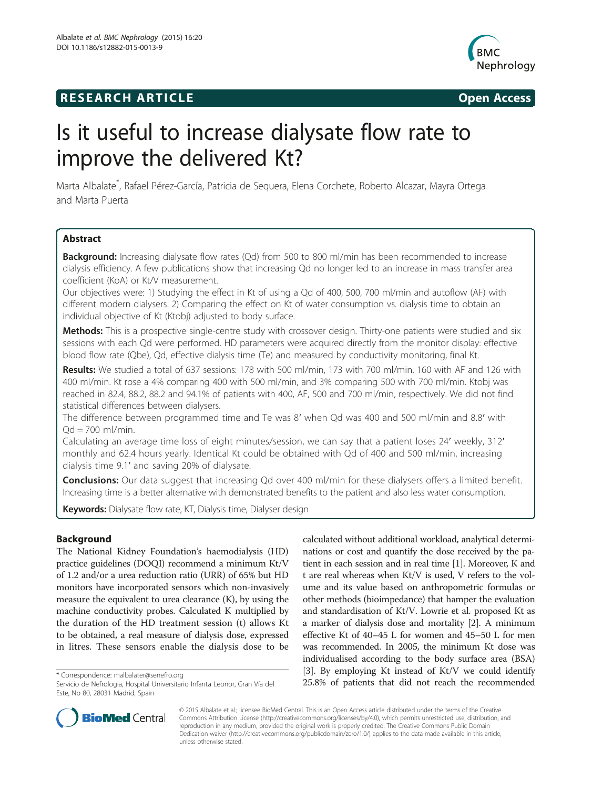# **RESEARCH ARTICLE Example 2008 CONSIDERING CONSIDERING CONSIDERING CONSIDERING CONSIDERING CONSIDERING CONSIDERING CONSIDERING CONSIDERING CONSIDERING CONSIDERING CONSIDERING CONSIDERING CONSIDERING CONSIDERING CONSIDE**



# Is it useful to increase dialysate flow rate to improve the delivered Kt?

Marta Albalate\* , Rafael Pérez-García, Patricia de Sequera, Elena Corchete, Roberto Alcazar, Mayra Ortega and Marta Puerta

# Abstract

Background: Increasing dialysate flow rates (Qd) from 500 to 800 ml/min has been recommended to increase dialysis efficiency. A few publications show that increasing Qd no longer led to an increase in mass transfer area coefficient (KoA) or Kt/V measurement.

Our objectives were: 1) Studying the effect in Kt of using a Qd of 400, 500, 700 ml/min and autoflow (AF) with different modern dialysers. 2) Comparing the effect on Kt of water consumption vs. dialysis time to obtain an individual objective of Kt (Ktobj) adjusted to body surface.

Methods: This is a prospective single-centre study with crossover design. Thirty-one patients were studied and six sessions with each Qd were performed. HD parameters were acquired directly from the monitor display: effective blood flow rate (Qbe), Qd, effective dialysis time (Te) and measured by conductivity monitoring, final Kt.

Results: We studied a total of 637 sessions: 178 with 500 ml/min, 173 with 700 ml/min, 160 with AF and 126 with 400 ml/min. Kt rose a 4% comparing 400 with 500 ml/min, and 3% comparing 500 with 700 ml/min. Ktobj was reached in 82.4, 88.2, 88.2 and 94.1% of patients with 400, AF, 500 and 700 ml/min, respectively. We did not find statistical differences between dialysers.

The difference between programmed time and Te was 8′ when Qd was 400 and 500 ml/min and 8.8′ with  $Qd = 700$  ml/min.

Calculating an average time loss of eight minutes/session, we can say that a patient loses 24′ weekly, 312′ monthly and 62.4 hours yearly. Identical Kt could be obtained with Qd of 400 and 500 ml/min, increasing dialysis time 9.1′ and saving 20% of dialysate.

Conclusions: Our data suggest that increasing Qd over 400 ml/min for these dialysers offers a limited benefit. Increasing time is a better alternative with demonstrated benefits to the patient and also less water consumption.

Keywords: Dialysate flow rate, KT, Dialysis time, Dialyser design

# **Background**

The National Kidney Foundation's haemodialysis (HD) practice guidelines (DOQI) recommend a minimum Kt/V of 1.2 and/or a urea reduction ratio (URR) of 65% but HD monitors have incorporated sensors which non-invasively measure the equivalent to urea clearance (K), by using the machine conductivity probes. Calculated K multiplied by the duration of the HD treatment session (t) allows Kt to be obtained, a real measure of dialysis dose, expressed in litres. These sensors enable the dialysis dose to be

calculated without additional workload, analytical determinations or cost and quantify the dose received by the patient in each session and in real time [\[1](#page-5-0)]. Moreover, K and t are real whereas when Kt/V is used, V refers to the volume and its value based on anthropometric formulas or other methods (bioimpedance) that hamper the evaluation and standardisation of Kt/V. Lowrie et al. proposed Kt as a marker of dialysis dose and mortality [\[2\]](#page-5-0). A minimum effective Kt of 40–45 L for women and 45–50 L for men was recommended. In 2005, the minimum Kt dose was individualised according to the body surface area (BSA) [[3\]](#page-5-0). By employing Kt instead of Kt/V we could identify zorrespondence: [malbalater@senefro.org](mailto:malbalater@senefro.org) // [2]. By employing Kt instead of Kt/V we could identify<br>Servicio de Nefrologia, Hospital Universitario Infanta Leonor, Gran Via del // 25.8% of patients that did not reach the recom



© 2015 Albalate et al.; licensee BioMed Central. This is an Open Access article distributed under the terms of the Creative Commons Attribution License [\(http://creativecommons.org/licenses/by/4.0\)](http://creativecommons.org/licenses/by/4.0), which permits unrestricted use, distribution, and reproduction in any medium, provided the original work is properly credited. The Creative Commons Public Domain Dedication waiver [\(http://creativecommons.org/publicdomain/zero/1.0/](http://creativecommons.org/publicdomain/zero/1.0/)) applies to the data made available in this article, unless otherwise stated.

Servicio de Nefrologia, Hospital Universitario Infanta Leonor, Gran Vía del Este, No 80, 28031 Madrid, Spain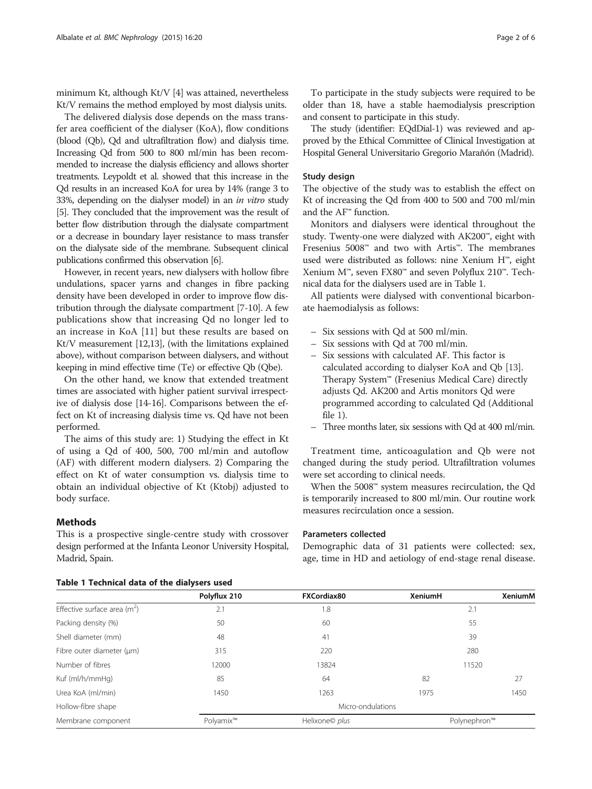minimum Kt, although Kt/V [[4\]](#page-5-0) was attained, nevertheless Kt/V remains the method employed by most dialysis units.

The delivered dialysis dose depends on the mass transfer area coefficient of the dialyser (KoA), flow conditions (blood (Qb), Qd and ultrafiltration flow) and dialysis time. Increasing Qd from 500 to 800 ml/min has been recommended to increase the dialysis efficiency and allows shorter treatments. Leypoldt et al. showed that this increase in the Qd results in an increased KoA for urea by 14% (range 3 to 33%, depending on the dialyser model) in an in vitro study [[5](#page-5-0)]. They concluded that the improvement was the result of better flow distribution through the dialysate compartment or a decrease in boundary layer resistance to mass transfer on the dialysate side of the membrane. Subsequent clinical publications confirmed this observation [\[6\]](#page-5-0).

However, in recent years, new dialysers with hollow fibre undulations, spacer yarns and changes in fibre packing density have been developed in order to improve flow distribution through the dialysate compartment [\[7](#page-5-0)-[10](#page-5-0)]. A few publications show that increasing Qd no longer led to an increase in KoA [[11\]](#page-5-0) but these results are based on Kt/V measurement [\[12,13](#page-5-0)], (with the limitations explained above), without comparison between dialysers, and without keeping in mind effective time (Te) or effective Qb (Qbe).

On the other hand, we know that extended treatment times are associated with higher patient survival irrespective of dialysis dose [\[14](#page-5-0)-[16](#page-5-0)]. Comparisons between the effect on Kt of increasing dialysis time vs. Qd have not been performed.

The aims of this study are: 1) Studying the effect in Kt of using a Qd of 400, 500, 700 ml/min and autoflow (AF) with different modern dialysers. 2) Comparing the effect on Kt of water consumption vs. dialysis time to obtain an individual objective of Kt (Ktobj) adjusted to body surface.

#### Methods

This is a prospective single-centre study with crossover design performed at the Infanta Leonor University Hospital, Madrid, Spain.

To participate in the study subjects were required to be

older than 18, have a stable haemodialysis prescription and consent to participate in this study.

The study (identifier: EQdDial-1) was reviewed and approved by the Ethical Committee of Clinical Investigation at Hospital General Universitario Gregorio Marañón (Madrid).

#### Study design

The objective of the study was to establish the effect on Kt of increasing the Qd from 400 to 500 and 700 ml/min and the AF™ function.

Monitors and dialysers were identical throughout the study. Twenty-one were dialyzed with AK200™, eight with Fresenius 5008™ and two with Artis™. The membranes used were distributed as follows: nine Xenium H™, eight Xenium M™, seven FX80™ and seven Polyflux 210™. Technical data for the dialysers used are in Table 1.

All patients were dialysed with conventional bicarbonate haemodialysis as follows:

- Six sessions with Qd at 500 ml/min.
- Six sessions with Qd at 700 ml/min.
- Six sessions with calculated AF. This factor is calculated according to dialyser KoA and Qb [[13](#page-5-0)]. Therapy System™ (Fresenius Medical Care) directly adjusts Qd. AK200 and Artis monitors Qd were programmed according to calculated Qd (Additional file [1](#page-4-0)).
- Three months later, six sessions with Qd at 400 ml/min.

Treatment time, anticoagulation and Qb were not changed during the study period. Ultrafiltration volumes were set according to clinical needs.

When the 5008™ system measures recirculation, the Qd is temporarily increased to 800 ml/min. Our routine work measures recirculation once a session.

#### Parameters collected

Demographic data of 31 patients were collected: sex, age, time in HD and aetiology of end-stage renal disease.

#### Table 1 Technical data of the dialysers used

|                                | Polyflux 210      | FXCordiax80                | <b>XeniumH</b> | <b>XeniumM</b> |  |
|--------------------------------|-------------------|----------------------------|----------------|----------------|--|
| Effective surface area $(m^2)$ | 2.1               | 1.8                        |                | 2.1            |  |
| Packing density (%)            | 50                | 60                         |                | 55             |  |
| Shell diameter (mm)            | 48                | 41                         |                | 39             |  |
| Fibre outer diameter (µm)      | 315               | 220                        |                | 280            |  |
| Number of fibres               | 12000             | 13824                      |                | 11520          |  |
| Kuf (ml/h/mmHq)                | 85                | 64                         | 82             | 27             |  |
| Urea KoA (ml/min)              | 1450              | 1263                       | 1975           | 1450           |  |
| Hollow-fibre shape             | Micro-ondulations |                            |                |                |  |
| Membrane component             | Polyamix™         | Helixone <sup>®</sup> plus |                | Polynephron™   |  |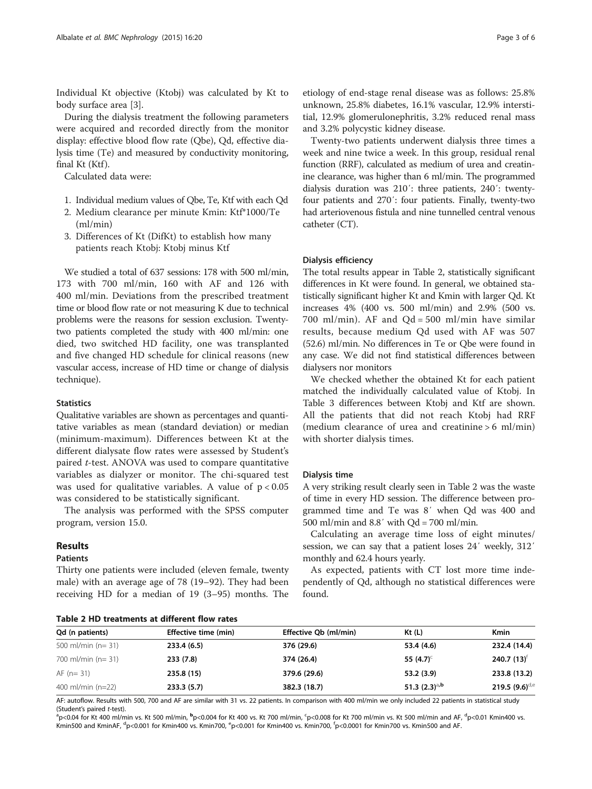<span id="page-2-0"></span>Individual Kt objective (Ktobj) was calculated by Kt to body surface area [\[3](#page-5-0)].

During the dialysis treatment the following parameters were acquired and recorded directly from the monitor display: effective blood flow rate (Qbe), Qd, effective dialysis time (Te) and measured by conductivity monitoring, final Kt (Ktf).

Calculated data were:

- 1. Individual medium values of Qbe, Te, Ktf with each Qd
- 2. Medium clearance per minute Kmin: Ktf\*1000/Te (ml/min)
- 3. Differences of Kt (DifKt) to establish how many patients reach Ktobj: Ktobj minus Ktf

We studied a total of 637 sessions: 178 with 500 ml/min, 173 with 700 ml/min, 160 with AF and 126 with 400 ml/min. Deviations from the prescribed treatment time or blood flow rate or not measuring K due to technical problems were the reasons for session exclusion. Twentytwo patients completed the study with 400 ml/min: one died, two switched HD facility, one was transplanted and five changed HD schedule for clinical reasons (new vascular access, increase of HD time or change of dialysis technique).

#### **Statistics**

Qualitative variables are shown as percentages and quantitative variables as mean (standard deviation) or median (minimum-maximum). Differences between Kt at the different dialysate flow rates were assessed by Student's paired t-test. ANOVA was used to compare quantitative variables as dialyzer or monitor. The chi-squared test was used for qualitative variables. A value of  $p < 0.05$ was considered to be statistically significant.

The analysis was performed with the SPSS computer program, version 15.0.

#### Results

#### Patients

Thirty one patients were included (eleven female, twenty male) with an average age of 78 (19–92). They had been receiving HD for a median of 19 (3–95) months. The

| Table 2 HD treatments at different flow rates |  |
|-----------------------------------------------|--|
|-----------------------------------------------|--|

etiology of end-stage renal disease was as follows: 25.8% unknown, 25.8% diabetes, 16.1% vascular, 12.9% interstitial, 12.9% glomerulonephritis, 3.2% reduced renal mass and 3.2% polycystic kidney disease.

Twenty-two patients underwent dialysis three times a week and nine twice a week. In this group, residual renal function (RRF), calculated as medium of urea and creatinine clearance, was higher than 6 ml/min. The programmed dialysis duration was 210′: three patients, 240′: twentyfour patients and 270′: four patients. Finally, twenty-two had arteriovenous fistula and nine tunnelled central venous catheter (CT).

#### Dialysis efficiency

The total results appear in Table 2, statistically significant differences in Kt were found. In general, we obtained statistically significant higher Kt and Kmin with larger Qd. Kt increases 4% (400 vs. 500 ml/min) and 2.9% (500 vs. 700 ml/min). AF and Qd = 500 ml/min have similar results, because medium Qd used with AF was 507 (52.6) ml/min. No differences in Te or Qbe were found in any case. We did not find statistical differences between dialysers nor monitors

We checked whether the obtained Kt for each patient matched the individually calculated value of Ktobj. In Table [3](#page-3-0) differences between Ktobj and Ktf are shown. All the patients that did not reach Ktobj had RRF (medium clearance of urea and creatinine  $> 6$  ml/min) with shorter dialysis times.

# Dialysis time

A very striking result clearly seen in Table 2 was the waste of time in every HD session. The difference between programmed time and Te was 8′ when Qd was 400 and 500 ml/min and 8.8′ with Qd = 700 ml/min.

Calculating an average time loss of eight minutes/ session, we can say that a patient loses 24′ weekly, 312′ monthly and 62.4 hours yearly.

As expected, patients with CT lost more time independently of Qd, although no statistical differences were found.

| Effective time (min) | Effective Qb (ml/min) | Kt(L)              | Kmin                |  |
|----------------------|-----------------------|--------------------|---------------------|--|
| 233.4(6.5)           | 376 (29.6)            | 53.4 (4.6)         | 232.4 (14.4)        |  |
| 233(7.8)             | 374 (26.4)            | 55 $(4.7)^{c}$     | 240.7 $(13)^{1}$    |  |
| 235.8 (15)           | 379.6 (29.6)          | 53.2 (3.9)         | 233.8 (13.2)        |  |
| 233.3(5.7)           | 382.3 (18.7)          | 51.3 $(2.3)^{a,b}$ | 219.5 $(9.6)^{d,e}$ |  |
|                      |                       |                    |                     |  |

AF: autoflow. Results with 500, 700 and AF are similar with 31 vs. 22 patients. In comparison with 400 ml/min we only included 22 patients in statistical study (Student's paired  $t$ -test).

p<0.04 for Kt 400 ml/min vs. Kt 500 ml/min, <sup>b</sup>p<0.004 for Kt 400 vs. Kt 700 ml/min, <sup>c</sup>p<0.008 for Kt 700 ml/min vs. Kt 500 ml/min and AF, <sup>d</sup>p<0.01 Kmin400 vs. Kmin500 and KminAF, <sup>d</sup>p<0.001 for Kmin400 vs. Kmin700, °p<0.001 for Kmin400 vs. Kmin700, <sup>f</sup>p<0.0001 for Kmin700 vs. Kmin500 and AF.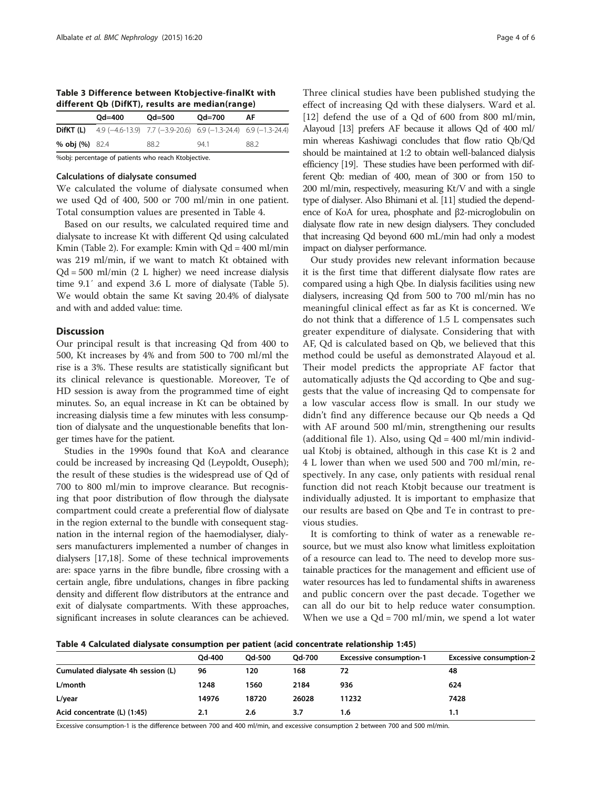<span id="page-3-0"></span>Table 3 Difference between Ktobjective-finalKt with different Qb (DifKT), results are median(range)

|                | Od=400 | $Od = 500$                                                              | $Od = 700$ | AF   |  |  |
|----------------|--------|-------------------------------------------------------------------------|------------|------|--|--|
| DifKT (L)      |        | $4.9$ (-4.6-13.9) $7.7$ (-3.9-20.6) $6.9$ (-1.3-24.4) $6.9$ (-1.3-24.4) |            |      |  |  |
| % obj (%) 82.4 |        | 88.2                                                                    | 94.1       | 88.2 |  |  |
|                |        |                                                                         |            |      |  |  |

%obj: percentage of patients who reach Ktobjective.

#### Calculations of dialysate consumed

We calculated the volume of dialysate consumed when we used Qd of 400, 500 or 700 ml/min in one patient. Total consumption values are presented in Table 4.

Based on our results, we calculated required time and dialysate to increase Kt with different Qd using calculated Kmin (Table [2](#page-2-0)). For example: Kmin with Qd = 400 ml/min was 219 ml/min, if we want to match Kt obtained with  $Qd = 500$  ml/min  $(2 L)$  higher) we need increase dialysis time 9.1′ and expend 3.6 L more of dialysate (Table [5](#page-4-0)). We would obtain the same Kt saving 20.4% of dialysate and with and added value: time.

## **Discussion**

Our principal result is that increasing Qd from 400 to 500, Kt increases by 4% and from 500 to 700 ml/ml the rise is a 3%. These results are statistically significant but its clinical relevance is questionable. Moreover, Te of HD session is away from the programmed time of eight minutes. So, an equal increase in Kt can be obtained by increasing dialysis time a few minutes with less consumption of dialysate and the unquestionable benefits that longer times have for the patient.

Studies in the 1990s found that KoA and clearance could be increased by increasing Qd (Leypoldt, Ouseph); the result of these studies is the widespread use of Qd of 700 to 800 ml/min to improve clearance. But recognising that poor distribution of flow through the dialysate compartment could create a preferential flow of dialysate in the region external to the bundle with consequent stagnation in the internal region of the haemodialyser, dialysers manufacturers implemented a number of changes in dialysers [\[17,18](#page-5-0)]. Some of these technical improvements are: space yarns in the fibre bundle, fibre crossing with a certain angle, fibre undulations, changes in fibre packing density and different flow distributors at the entrance and exit of dialysate compartments. With these approaches, significant increases in solute clearances can be achieved.

Three clinical studies have been published studying the effect of increasing Qd with these dialysers. Ward et al. [[12\]](#page-5-0) defend the use of a Qd of 600 from 800 ml/min, Alayoud [\[13](#page-5-0)] prefers AF because it allows Qd of 400 ml/ min whereas Kashiwagi concludes that flow ratio Qb/Qd should be maintained at 1:2 to obtain well-balanced dialysis efficiency [\[19](#page-5-0)]. These studies have been performed with different Qb: median of 400, mean of 300 or from 150 to 200 ml/min, respectively, measuring Kt/V and with a single type of dialyser. Also Bhimani et al. [\[11\]](#page-5-0) studied the dependence of KoA for urea, phosphate and β2-microglobulin on dialysate flow rate in new design dialysers. They concluded that increasing Qd beyond 600 mL/min had only a modest impact on dialyser performance.

Our study provides new relevant information because it is the first time that different dialysate flow rates are compared using a high Qbe. In dialysis facilities using new dialysers, increasing Qd from 500 to 700 ml/min has no meaningful clinical effect as far as Kt is concerned. We do not think that a difference of 1.5 L compensates such greater expenditure of dialysate. Considering that with AF, Qd is calculated based on Qb, we believed that this method could be useful as demonstrated Alayoud et al. Their model predicts the appropriate AF factor that automatically adjusts the Qd according to Qbe and suggests that the value of increasing Qd to compensate for a low vascular access flow is small. In our study we didn't find any difference because our Qb needs a Qd with AF around 500 ml/min, strengthening our results (additional file [1](#page-4-0)). Also, using  $Qd = 400$  ml/min individual Ktobj is obtained, although in this case Kt is 2 and 4 L lower than when we used 500 and 700 ml/min, respectively. In any case, only patients with residual renal function did not reach Ktobjt because our treatment is individually adjusted. It is important to emphasize that our results are based on Qbe and Te in contrast to previous studies.

It is comforting to think of water as a renewable resource, but we must also know what limitless exploitation of a resource can lead to. The need to develop more sustainable practices for the management and efficient use of water resources has led to fundamental shifts in awareness and public concern over the past decade. Together we can all do our bit to help reduce water consumption. When we use a Qd = 700 ml/min, we spend a lot water

Table 4 Calculated dialysate consumption per patient (acid concentrate relationship 1:45)

| Od-400 | Od-500 | Od-700 | <b>Excessive consumption-1</b> | <b>Excessive consumption-2</b> |
|--------|--------|--------|--------------------------------|--------------------------------|
| 96     | 120    | 168    | 72                             | 48                             |
| 1248   | 1560   | 2184   | 936                            | 624                            |
| 14976  | 18720  | 26028  | 11232                          | 7428                           |
| 2.1    | 2.6    | 3.7    | 1.6                            | 1.1                            |
|        |        |        |                                |                                |

Excessive consumption-1 is the difference between 700 and 400 ml/min, and excessive consumption 2 between 700 and 500 ml/min.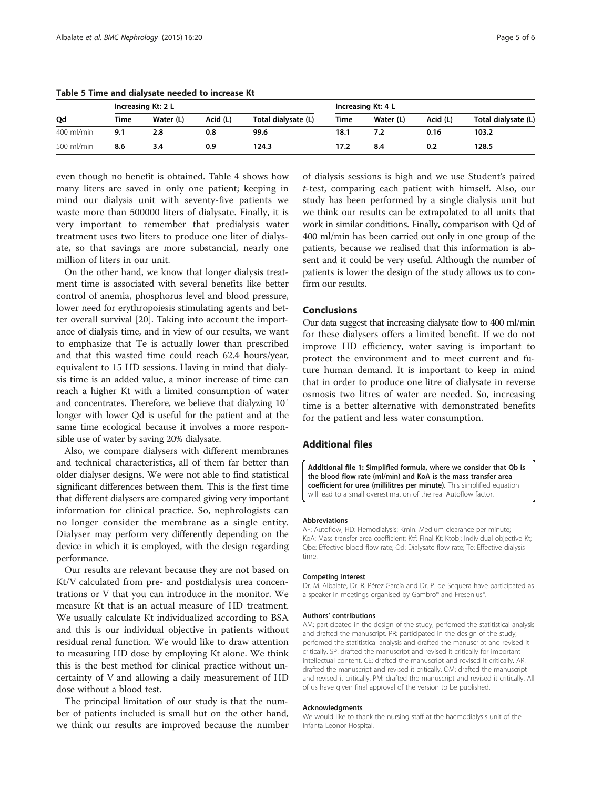|              |      | Increasing Kt: 2 L |          |                     | Increasing Kt: 4 L |           |          |                     |
|--------------|------|--------------------|----------|---------------------|--------------------|-----------|----------|---------------------|
| Qd           | Time | Water (L)          | Acid (L) | Total dialysate (L) | <b>Time</b>        | Water (L) | Acid (L) | Total dialysate (L) |
| $400$ ml/min | 9.1  | 2.8                | 0.8      | 99.6                | 18.1               | 7.2       | 0.16     | 103.2               |
| 500 ml/min   | 8.6  | 3.4                | 0.9      | 124.3               | 17.2               | 8.4       | 0.2      | 128.5               |

<span id="page-4-0"></span>Table 5 Time and dialysate needed to increase Kt

even though no benefit is obtained. Table [4](#page-3-0) shows how many liters are saved in only one patient; keeping in mind our dialysis unit with seventy-five patients we waste more than 500000 liters of dialysate. Finally, it is very important to remember that predialysis water treatment uses two liters to produce one liter of dialysate, so that savings are more substancial, nearly one million of liters in our unit.

On the other hand, we know that longer dialysis treatment time is associated with several benefits like better control of anemia, phosphorus level and blood pressure, lower need for erythropoiesis stimulating agents and better overall survival [\[20](#page-5-0)]. Taking into account the importance of dialysis time, and in view of our results, we want to emphasize that Te is actually lower than prescribed and that this wasted time could reach 62.4 hours/year, equivalent to 15 HD sessions. Having in mind that dialysis time is an added value, a minor increase of time can reach a higher Kt with a limited consumption of water and concentrates. Therefore, we believe that dialyzing 10′ longer with lower Qd is useful for the patient and at the same time ecological because it involves a more responsible use of water by saving 20% dialysate.

Also, we compare dialysers with different membranes and technical characteristics, all of them far better than older dialyser designs. We were not able to find statistical significant differences between them. This is the first time that different dialysers are compared giving very important information for clinical practice. So, nephrologists can no longer consider the membrane as a single entity. Dialyser may perform very differently depending on the device in which it is employed, with the design regarding performance.

Our results are relevant because they are not based on Kt/V calculated from pre- and postdialysis urea concentrations or V that you can introduce in the monitor. We measure Kt that is an actual measure of HD treatment. We usually calculate Kt individualized according to BSA and this is our individual objective in patients without residual renal function. We would like to draw attention to measuring HD dose by employing Kt alone. We think this is the best method for clinical practice without uncertainty of V and allowing a daily measurement of HD dose without a blood test.

The principal limitation of our study is that the number of patients included is small but on the other hand, we think our results are improved because the number of dialysis sessions is high and we use Student's paired t-test, comparing each patient with himself. Also, our study has been performed by a single dialysis unit but we think our results can be extrapolated to all units that work in similar conditions. Finally, comparison with Qd of 400 ml/min has been carried out only in one group of the patients, because we realised that this information is absent and it could be very useful. Although the number of patients is lower the design of the study allows us to confirm our results.

### Conclusions

Our data suggest that increasing dialysate flow to 400 ml/min for these dialysers offers a limited benefit. If we do not improve HD efficiency, water saving is important to protect the environment and to meet current and future human demand. It is important to keep in mind that in order to produce one litre of dialysate in reverse osmosis two litres of water are needed. So, increasing time is a better alternative with demonstrated benefits for the patient and less water consumption.

# Additional files

[Additional file 1:](http://www.biomedcentral.com/content/supplementary/s12882-015-0013-9-s1.doc) Simplified formula, where we consider that Qb is the blood flow rate (ml/min) and KoA is the mass transfer area coefficient for urea (millilitres per minute). This simplified equation will lead to a small overestimation of the real Autoflow factor.

#### Abbreviations

AF: Autoflow; HD: Hemodialysis; Kmin: Medium clearance per minute; KoA: Mass transfer area coefficient; Ktf: Final Kt; Ktobj: Individual objective Kt; Qbe: Effective blood flow rate; Qd: Dialysate flow rate; Te: Effective dialysis time.

#### Competing interest

Dr. M. Albalate, Dr. R. Pérez García and Dr. P. de Sequera have participated as a speaker in meetings organised by Gambro® and Fresenius®.

#### Authors' contributions

AM: participated in the design of the study, perfomed the statitistical analysis and drafted the manuscript. PR: participated in the design of the study, perfomed the statitistical analysis and drafted the manuscript and revised it critically. SP: drafted the manuscript and revised it critically for important intellectual content. CE: drafted the manuscript and revised it critically. AR: drafted the manuscript and revised it critically. OM: drafted the manuscript and revised it critically. PM: drafted the manuscript and revised it critically. All of us have given final approval of the version to be published.

#### Acknowledgments

We would like to thank the nursing staff at the haemodialysis unit of the Infanta Leonor Hospital.